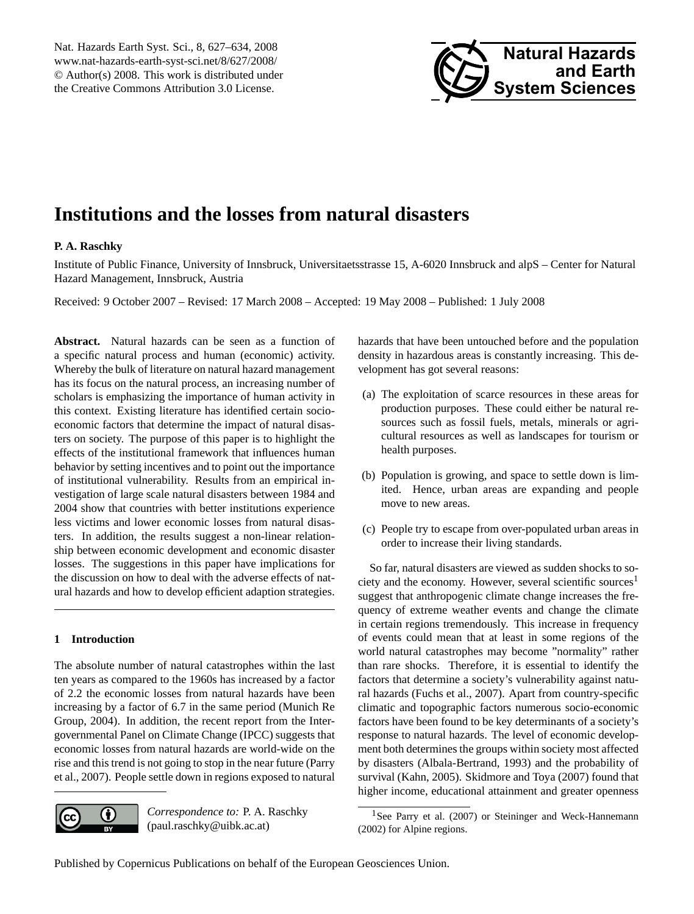<span id="page-0-1"></span>Nat. Hazards Earth Syst. Sci., 8, 627–634, 2008 www.nat-hazards-earth-syst-sci.net/8/627/2008/ © Author(s) 2008. This work is distributed under the Creative Commons Attribution 3.0 License.



# **Institutions and the losses from natural disasters**

# **P. A. Raschky**

Institute of Public Finance, University of Innsbruck, Universitaetsstrasse 15, A-6020 Innsbruck and alpS – Center for Natural Hazard Management, Innsbruck, Austria

Received: 9 October 2007 – Revised: 17 March 2008 – Accepted: 19 May 2008 – Published: 1 July 2008

**Abstract.** Natural hazards can be seen as a function of a specific natural process and human (economic) activity. Whereby the bulk of literature on natural hazard management has its focus on the natural process, an increasing number of scholars is emphasizing the importance of human activity in this context. Existing literature has identified certain socioeconomic factors that determine the impact of natural disasters on society. The purpose of this paper is to highlight the effects of the institutional framework that influences human behavior by setting incentives and to point out the importance of institutional vulnerability. Results from an empirical investigation of large scale natural disasters between 1984 and 2004 show that countries with better institutions experience less victims and lower economic losses from natural disasters. In addition, the results suggest a non-linear relationship between economic development and economic disaster losses. The suggestions in this paper have implications for the discussion on how to deal with the adverse effects of natural hazards and how to develop efficient adaption strategies.

## **1 Introduction**

The absolute number of natural catastrophes within the last ten years as compared to the 1960s has increased by a factor of 2.2 the economic losses from natural hazards have been increasing by a factor of 6.7 in the same period [\(Munich Re](#page-6-0) [Group,](#page-6-0) [2004\)](#page-6-0). In addition, the recent report from the Intergovernmental Panel on Climate Change (IPCC) suggests that economic losses from natural hazards are world-wide on the rise and this trend is not going to stop in the near future [\(Parry](#page-6-1) [et al.,](#page-6-1) [2007\)](#page-6-1). People settle down in regions exposed to natural



*Correspondence to:* P. A. Raschky (paul.raschky@uibk.ac.at)

hazards that have been untouched before and the population density in hazardous areas is constantly increasing. This development has got several reasons:

- (a) The exploitation of scarce resources in these areas for production purposes. These could either be natural resources such as fossil fuels, metals, minerals or agricultural resources as well as landscapes for tourism or health purposes.
- (b) Population is growing, and space to settle down is limited. Hence, urban areas are expanding and people move to new areas.
- (c) People try to escape from over-populated urban areas in order to increase their living standards.

So far, natural disasters are viewed as sudden shocks to so-ciety and the economy. However, several scientific sources<sup>[1](#page-0-0)</sup> suggest that anthropogenic climate change increases the frequency of extreme weather events and change the climate in certain regions tremendously. This increase in frequency of events could mean that at least in some regions of the world natural catastrophes may become "normality" rather than rare shocks. Therefore, it is essential to identify the factors that determine a society's vulnerability against natural hazards [\(Fuchs et al.,](#page-6-2) [2007\)](#page-6-2). Apart from country-specific climatic and topographic factors numerous socio-economic factors have been found to be key determinants of a society's response to natural hazards. The level of economic development both determines the groups within society most affected by disasters [\(Albala-Bertrand,](#page-6-3) [1993\)](#page-6-3) and the probability of survival [\(Kahn,](#page-6-4) [2005\)](#page-6-4). [Skidmore and Toya](#page-7-0) [\(2007\)](#page-7-0) found that higher income, educational attainment and greater openness

<span id="page-0-0"></span><sup>&</sup>lt;sup>1</sup>See [Parry et al.](#page-6-1) [\(2007\)](#page-6-1) or [Steininger and Weck-Hannemann](#page-7-1) [\(2002\)](#page-7-1) for Alpine regions.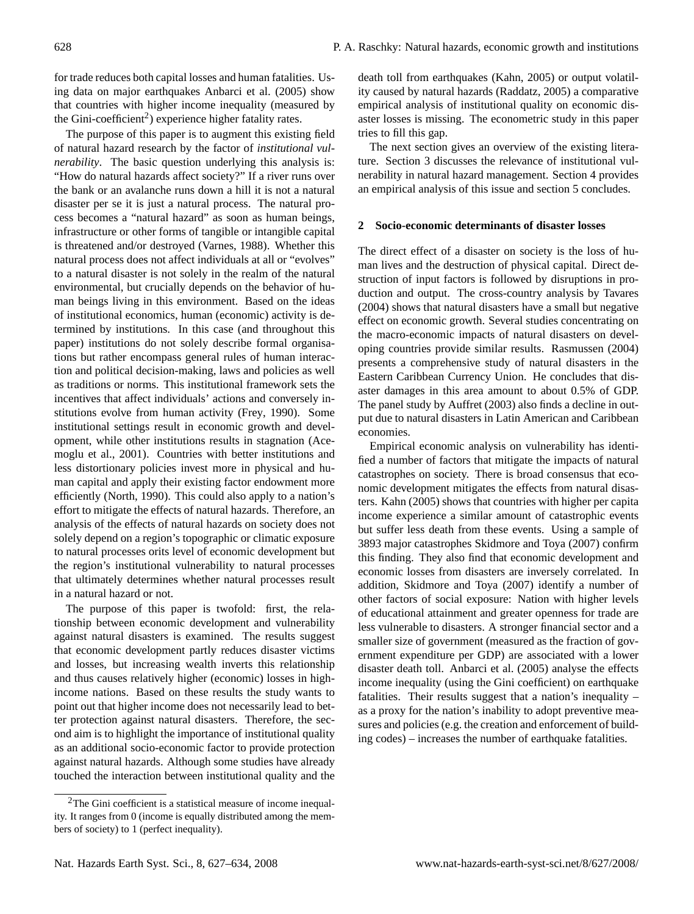for trade reduces both capital losses and human fatalities. Using data on major earthquakes [Anbarci et al.](#page-6-5) [\(2005\)](#page-6-5) show that countries with higher income inequality (measured by the Gini-coefficient<sup>[2](#page-1-0)</sup>) experience higher fatality rates.

The purpose of this paper is to augment this existing field of natural hazard research by the factor of *institutional vulnerability*. The basic question underlying this analysis is: "How do natural hazards affect society?" If a river runs over the bank or an avalanche runs down a hill it is not a natural disaster per se it is just a natural process. The natural process becomes a "natural hazard" as soon as human beings, infrastructure or other forms of tangible or intangible capital is threatened and/or destroyed [\(Varnes,](#page-7-2) [1988\)](#page-7-2). Whether this natural process does not affect individuals at all or "evolves" to a natural disaster is not solely in the realm of the natural environmental, but crucially depends on the behavior of human beings living in this environment. Based on the ideas of institutional economics, human (economic) activity is determined by institutions. In this case (and throughout this paper) institutions do not solely describe formal organisations but rather encompass general rules of human interaction and political decision-making, laws and policies as well as traditions or norms. This institutional framework sets the incentives that affect individuals' actions and conversely institutions evolve from human activity [\(Frey,](#page-6-6) [1990\)](#page-6-6). Some institutional settings result in economic growth and development, while other institutions results in stagnation [\(Ace](#page-6-7)[moglu et al.,](#page-6-7) [2001\)](#page-6-7). Countries with better institutions and less distortionary policies invest more in physical and human capital and apply their existing factor endowment more efficiently [\(North,](#page-6-8) [1990\)](#page-6-8). This could also apply to a nation's effort to mitigate the effects of natural hazards. Therefore, an analysis of the effects of natural hazards on society does not solely depend on a region's topographic or climatic exposure to natural processes orits level of economic development but the region's institutional vulnerability to natural processes that ultimately determines whether natural processes result in a natural hazard or not.

The purpose of this paper is twofold: first, the relationship between economic development and vulnerability against natural disasters is examined. The results suggest that economic development partly reduces disaster victims and losses, but increasing wealth inverts this relationship and thus causes relatively higher (economic) losses in highincome nations. Based on these results the study wants to point out that higher income does not necessarily lead to better protection against natural disasters. Therefore, the second aim is to highlight the importance of institutional quality as an additional socio-economic factor to provide protection against natural hazards. Although some studies have already touched the interaction between institutional quality and the

death toll from earthquakes [\(Kahn,](#page-6-4) [2005\)](#page-6-4) or output volatility caused by natural hazards [\(Raddatz,](#page-6-9) [2005\)](#page-6-9) a comparative empirical analysis of institutional quality on economic disaster losses is missing. The econometric study in this paper tries to fill this gap.

The next section gives an overview of the existing literature. Section 3 discusses the relevance of institutional vulnerability in natural hazard management. Section 4 provides an empirical analysis of this issue and section 5 concludes.

#### **2 Socio-economic determinants of disaster losses**

The direct effect of a disaster on society is the loss of human lives and the destruction of physical capital. Direct destruction of input factors is followed by disruptions in production and output. The cross-country analysis by [Tavares](#page-7-3) [\(2004\)](#page-7-3) shows that natural disasters have a small but negative effect on economic growth. Several studies concentrating on the macro-economic impacts of natural disasters on developing countries provide similar results. [Rasmussen](#page-6-10) [\(2004\)](#page-6-10) presents a comprehensive study of natural disasters in the Eastern Caribbean Currency Union. He concludes that disaster damages in this area amount to about 0.5% of GDP. The panel study by [Auffret](#page-6-11) [\(2003\)](#page-6-11) also finds a decline in output due to natural disasters in Latin American and Caribbean economies.

Empirical economic analysis on vulnerability has identified a number of factors that mitigate the impacts of natural catastrophes on society. There is broad consensus that economic development mitigates the effects from natural disasters. [Kahn](#page-6-4) [\(2005\)](#page-6-4) shows that countries with higher per capita income experience a similar amount of catastrophic events but suffer less death from these events. Using a sample of 3893 major catastrophes [Skidmore and Toya](#page-7-0) [\(2007\)](#page-7-0) confirm this finding. They also find that economic development and economic losses from disasters are inversely correlated. In addition, [Skidmore and Toya](#page-7-0) [\(2007\)](#page-7-0) identify a number of other factors of social exposure: Nation with higher levels of educational attainment and greater openness for trade are less vulnerable to disasters. A stronger financial sector and a smaller size of government (measured as the fraction of government expenditure per GDP) are associated with a lower disaster death toll. [Anbarci et al.](#page-6-5) [\(2005\)](#page-6-5) analyse the effects income inequality (using the Gini coefficient) on earthquake fatalities. Their results suggest that a nation's inequality – as a proxy for the nation's inability to adopt preventive measures and policies (e.g. the creation and enforcement of building codes) – increases the number of earthquake fatalities.

<span id="page-1-0"></span><sup>2</sup>The Gini coefficient is a statistical measure of income inequality. It ranges from 0 (income is equally distributed among the members of society) to 1 (perfect inequality).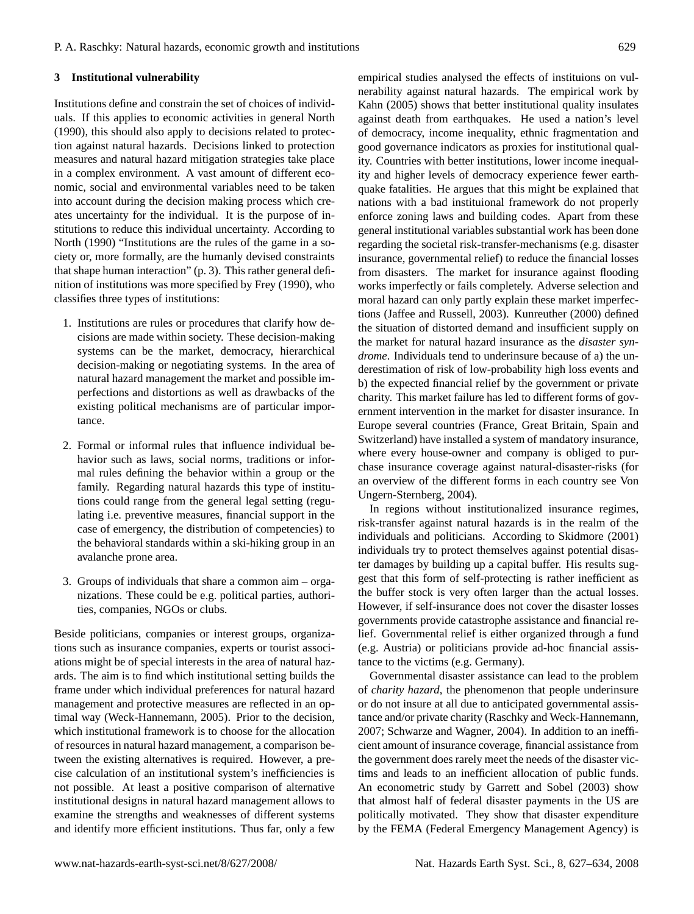## **3 Institutional vulnerability**

Institutions define and constrain the set of choices of individuals. If this applies to economic activities in general [North](#page-6-8) [\(1990\)](#page-6-8), this should also apply to decisions related to protection against natural hazards. Decisions linked to protection measures and natural hazard mitigation strategies take place in a complex environment. A vast amount of different economic, social and environmental variables need to be taken into account during the decision making process which creates uncertainty for the individual. It is the purpose of institutions to reduce this individual uncertainty. According to [North](#page-6-8) [\(1990\)](#page-6-8) "Institutions are the rules of the game in a society or, more formally, are the humanly devised constraints that shape human interaction" (p. 3). This rather general definition of institutions was more specified by [Frey](#page-6-6) [\(1990\)](#page-6-6), who classifies three types of institutions:

- 1. Institutions are rules or procedures that clarify how decisions are made within society. These decision-making systems can be the market, democracy, hierarchical decision-making or negotiating systems. In the area of natural hazard management the market and possible imperfections and distortions as well as drawbacks of the existing political mechanisms are of particular importance.
- 2. Formal or informal rules that influence individual behavior such as laws, social norms, traditions or informal rules defining the behavior within a group or the family. Regarding natural hazards this type of institutions could range from the general legal setting (regulating i.e. preventive measures, financial support in the case of emergency, the distribution of competencies) to the behavioral standards within a ski-hiking group in an avalanche prone area.
- 3. Groups of individuals that share a common aim organizations. These could be e.g. political parties, authorities, companies, NGOs or clubs.

Beside politicians, companies or interest groups, organizations such as insurance companies, experts or tourist associations might be of special interests in the area of natural hazards. The aim is to find which institutional setting builds the frame under which individual preferences for natural hazard management and protective measures are reflected in an optimal way [\(Weck-Hannemann,](#page-7-4) [2005\)](#page-7-4). Prior to the decision, which institutional framework is to choose for the allocation of resources in natural hazard management, a comparison between the existing alternatives is required. However, a precise calculation of an institutional system's inefficiencies is not possible. At least a positive comparison of alternative institutional designs in natural hazard management allows to examine the strengths and weaknesses of different systems and identify more efficient institutions. Thus far, only a few empirical studies analysed the effects of instituions on vulnerability against natural hazards. The empirical work by [Kahn](#page-6-4) [\(2005\)](#page-6-4) shows that better institutional quality insulates against death from earthquakes. He used a nation's level of democracy, income inequality, ethnic fragmentation and good governance indicators as proxies for institutional quality. Countries with better institutions, lower income inequality and higher levels of democracy experience fewer earthquake fatalities. He argues that this might be explained that nations with a bad instituional framework do not properly enforce zoning laws and building codes. Apart from these general institutional variables substantial work has been done regarding the societal risk-transfer-mechanisms (e.g. disaster insurance, governmental relief) to reduce the financial losses from disasters. The market for insurance against flooding works imperfectly or fails completely. Adverse selection and moral hazard can only partly explain these market imperfections [\(Jaffee and Russell,](#page-6-12) [2003\)](#page-6-12). [Kunreuther](#page-6-13) [\(2000\)](#page-6-13) defined the situation of distorted demand and insufficient supply on the market for natural hazard insurance as the *disaster syndrome*. Individuals tend to underinsure because of a) the underestimation of risk of low-probability high loss events and b) the expected financial relief by the government or private charity. This market failure has led to different forms of government intervention in the market for disaster insurance. In Europe several countries (France, Great Britain, Spain and Switzerland) have installed a system of mandatory insurance, where every house-owner and company is obliged to purchase insurance coverage against natural-disaster-risks (for an overview of the different forms in each country see [Von](#page-7-5) [Ungern-Sternberg,](#page-7-5) [2004\)](#page-7-5).

In regions without institutionalized insurance regimes, risk-transfer against natural hazards is in the realm of the individuals and politicians. According to [Skidmore](#page-7-6) [\(2001\)](#page-7-6) individuals try to protect themselves against potential disaster damages by building up a capital buffer. His results suggest that this form of self-protecting is rather inefficient as the buffer stock is very often larger than the actual losses. However, if self-insurance does not cover the disaster losses governments provide catastrophe assistance and financial relief. Governmental relief is either organized through a fund (e.g. Austria) or politicians provide ad-hoc financial assistance to the victims (e.g. Germany).

Governmental disaster assistance can lead to the problem of *charity hazard*, the phenomenon that people underinsure or do not insure at all due to anticipated governmental assistance and/or private charity [\(Raschky and Weck-Hannemann,](#page-6-14) [2007;](#page-6-14) [Schwarze and Wagner,](#page-7-7) [2004\)](#page-7-7). In addition to an inefficient amount of insurance coverage, financial assistance from the government does rarely meet the needs of the disaster victims and leads to an inefficient allocation of public funds. An econometric study by [Garrett and Sobel](#page-6-15) [\(2003\)](#page-6-15) show that almost half of federal disaster payments in the US are politically motivated. They show that disaster expenditure by the FEMA (Federal Emergency Management Agency) is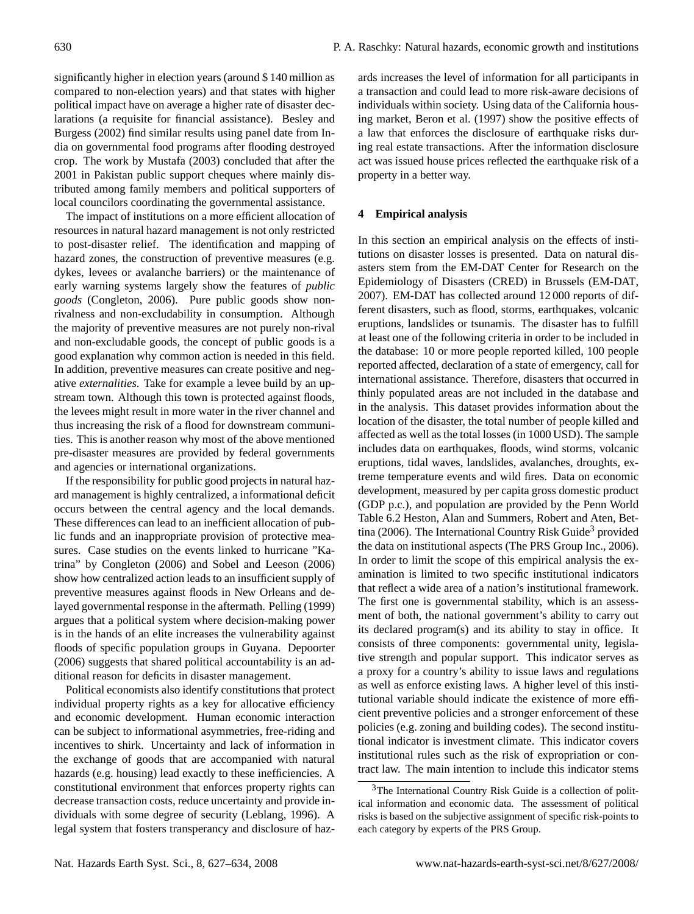significantly higher in election years (around \$ 140 million as compared to non-election years) and that states with higher political impact have on average a higher rate of disaster declarations (a requisite for financial assistance). [Besley and](#page-6-16) [Burgess](#page-6-16) [\(2002\)](#page-6-16) find similar results using panel date from India on governmental food programs after flooding destroyed crop. The work by [Mustafa](#page-6-17) [\(2003\)](#page-6-17) concluded that after the 2001 in Pakistan public support cheques where mainly distributed among family members and political supporters of local councilors coordinating the governmental assistance.

The impact of institutions on a more efficient allocation of resources in natural hazard management is not only restricted to post-disaster relief. The identification and mapping of hazard zones, the construction of preventive measures (e.g. dykes, levees or avalanche barriers) or the maintenance of early warning systems largely show the features of *public goods* [\(Congleton,](#page-6-18) [2006\)](#page-6-18). Pure public goods show nonrivalness and non-excludability in consumption. Although the majority of preventive measures are not purely non-rival and non-excludable goods, the concept of public goods is a good explanation why common action is needed in this field. In addition, preventive measures can create positive and negative *externalities*. Take for example a levee build by an upstream town. Although this town is protected against floods, the levees might result in more water in the river channel and thus increasing the risk of a flood for downstream communities. This is another reason why most of the above mentioned pre-disaster measures are provided by federal governments and agencies or international organizations.

If the responsibility for public good projects in natural hazard management is highly centralized, a informational deficit occurs between the central agency and the local demands. These differences can lead to an inefficient allocation of public funds and an inappropriate provision of protective measures. Case studies on the events linked to hurricane "Katrina" by [Congleton](#page-6-18) [\(2006\)](#page-6-18) and [Sobel and Leeson](#page-7-8) [\(2006\)](#page-7-8) show how centralized action leads to an insufficient supply of preventive measures against floods in New Orleans and delayed governmental response in the aftermath. [Pelling](#page-6-19) [\(1999\)](#page-6-19) argues that a political system where decision-making power is in the hands of an elite increases the vulnerability against floods of specific population groups in Guyana. [Depoorter](#page-6-20) [\(2006\)](#page-6-20) suggests that shared political accountability is an additional reason for deficits in disaster management.

Political economists also identify constitutions that protect individual property rights as a key for allocative efficiency and economic development. Human economic interaction can be subject to informational asymmetries, free-riding and incentives to shirk. Uncertainty and lack of information in the exchange of goods that are accompanied with natural hazards (e.g. housing) lead exactly to these inefficiencies. A constitutional environment that enforces property rights can decrease transaction costs, reduce uncertainty and provide individuals with some degree of security [\(Leblang,](#page-6-21) [1996\)](#page-6-21). A legal system that fosters transperancy and disclosure of hazards increases the level of information for all participants in a transaction and could lead to more risk-aware decisions of individuals within society. Using data of the California housing market, [Beron et al.](#page-6-22) [\(1997\)](#page-6-22) show the positive effects of a law that enforces the disclosure of earthquake risks during real estate transactions. After the information disclosure act was issued house prices reflected the earthquake risk of a property in a better way.

## **4 Empirical analysis**

In this section an empirical analysis on the effects of institutions on disaster losses is presented. Data on natural disasters stem from the EM-DAT Center for Research on the Epidemiology of Disasters (CRED) in Brussels [\(EM-DAT,](#page-6-23) [2007\)](#page-6-23). EM-DAT has collected around 12 000 reports of different disasters, such as flood, storms, earthquakes, volcanic eruptions, landslides or tsunamis. The disaster has to fulfill at least one of the following criteria in order to be included in the database: 10 or more people reported killed, 100 people reported affected, declaration of a state of emergency, call for international assistance. Therefore, disasters that occurred in thinly populated areas are not included in the database and in the analysis. This dataset provides information about the location of the disaster, the total number of people killed and affected as well as the total losses (in 1000 USD). The sample includes data on earthquakes, floods, wind storms, volcanic eruptions, tidal waves, landslides, avalanches, droughts, extreme temperature events and wild fires. Data on economic development, measured by per capita gross domestic product (GDP p.c.), and population are provided by the Penn World Table 6.2 [Heston, Alan and Summers, Robert and Aten, Bet](#page-6-24)[tina](#page-6-24) [\(2006\)](#page-6-24). The International Country Risk Guide<sup>[3](#page-3-0)</sup> provided the data on institutional aspects [\(The PRS Group Inc.,](#page-7-9) [2006\)](#page-7-9). In order to limit the scope of this empirical analysis the examination is limited to two specific institutional indicators that reflect a wide area of a nation's institutional framework. The first one is governmental stability, which is an assessment of both, the national government's ability to carry out its declared program(s) and its ability to stay in office. It consists of three components: governmental unity, legislative strength and popular support. This indicator serves as a proxy for a country's ability to issue laws and regulations as well as enforce existing laws. A higher level of this institutional variable should indicate the existence of more efficient preventive policies and a stronger enforcement of these policies (e.g. zoning and building codes). The second institutional indicator is investment climate. This indicator covers institutional rules such as the risk of expropriation or contract law. The main intention to include this indicator stems

<span id="page-3-0"></span><sup>&</sup>lt;sup>3</sup>The International Country Risk Guide is a collection of political information and economic data. The assessment of political risks is based on the subjective assignment of specific risk-points to each category by experts of the PRS Group.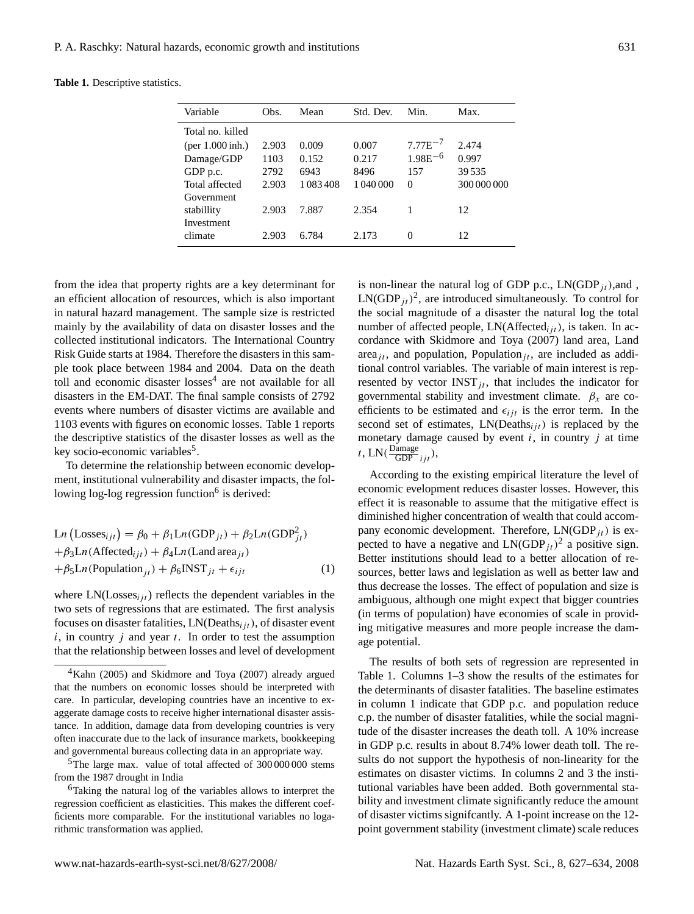**Table 1.** Descriptive statistics.

| Variable           | Obs.  | Mean      | Std. Dev. | Min.         | Max.        |
|--------------------|-------|-----------|-----------|--------------|-------------|
| Total no. killed   |       |           |           |              |             |
| (per $1.000$ inh.) | 2.903 | 0.009     | 0.007     | $7.77E^{-7}$ | 2.474       |
| Damage/GDP         | 1103  | 0.152     | 0.217     | $1.98E^{-6}$ | 0.997       |
| GDP p.c.           | 2792  | 6943      | 8496      | 157          | 39535       |
| Total affected     | 2.903 | 1 083 408 | 1 040 000 | $\Omega$     | 300 000 000 |
| Government         |       |           |           |              |             |
| stabillity         | 2.903 | 7.887     | 2.354     | 1            | 12          |
| Investment         |       |           |           |              |             |
| climate            | 2.903 | 6.784     | 2.173     | $\Omega$     | 12.         |
|                    |       |           |           |              |             |

from the idea that property rights are a key determinant for an efficient allocation of resources, which is also important in natural hazard management. The sample size is restricted mainly by the availability of data on disaster losses and the collected institutional indicators. The International Country Risk Guide starts at 1984. Therefore the disasters in this sample took place between 1984 and 2004. Data on the death toll and economic disaster  $losses<sup>4</sup>$  $losses<sup>4</sup>$  $losses<sup>4</sup>$  are not available for all disasters in the EM-DAT. The final sample consists of 2792 events where numbers of disaster victims are available and 1103 events with figures on economic losses. Table 1 reports the descriptive statistics of the disaster losses as well as the key socio-economic variables<sup>[5](#page-4-1)</sup>.

To determine the relationship between economic development, institutional vulnerability and disaster impacts, the fol-lowing log-log regression function<sup>[6](#page-4-2)</sup> is derived:

$$
Ln (Losses_{ijt}) = \beta_0 + \beta_1 Ln(GDP_{jt}) + \beta_2 Ln(GDP_{jt}^2)
$$
  
+ $\beta_3 Ln (Affected_{ijt}) + \beta_4 Ln (Land area_{jt})$   
+ $\beta_5 Ln (Population_{jt}) + \beta_6 INST_{jt} + \epsilon_{ijt}$  (1)

where  $LN(Losses<sub>ijt</sub>)$  reflects the dependent variables in the two sets of regressions that are estimated. The first analysis focuses on disaster fatalities,  $LN(Deaths<sub>ijt</sub>)$ , of disaster event  $i$ , in country  $j$  and year  $t$ . In order to test the assumption that the relationship between losses and level of development

<span id="page-4-1"></span><sup>5</sup>The large max. value of total affected of 300 000 000 stems from the 1987 drought in India

<span id="page-4-2"></span><sup>6</sup>Taking the natural log of the variables allows to interpret the regression coefficient as elasticities. This makes the different coefficients more comparable. For the institutional variables no logarithmic transformation was applied.

is non-linear the natural log of GDP p.c.,  $LN(GDP_{jt})$ , and,  $LN(GDP_{jt})^2$ , are introduced simultaneously. To control for the social magnitude of a disaster the natural log the total number of affected people,  $LN(Aflected_{ijt})$ , is taken. In accordance with [Skidmore and Toya](#page-7-0) [\(2007\)](#page-7-0) land area, Land area<sub>it</sub>, and population, Population<sub>it</sub>, are included as additional control variables. The variable of main interest is represented by vector INST $_{it}$ , that includes the indicator for governmental stability and investment climate.  $\beta_x$  are coefficients to be estimated and  $\epsilon_{ijt}$  is the error term. In the second set of estimates,  $LN(Deaths<sub>ijt</sub>)$  is replaced by the monetary damage caused by event  $i$ , in country  $j$  at time  $t$ , LN( $\frac{\text{Damage}}{\text{GDP}}_{ijt}$ ),

According to the existing empirical literature the level of economic evelopment reduces disaster losses. However, this effect it is reasonable to assume that the mitigative effect is diminished higher concentration of wealth that could accompany economic development. Therefore,  $LN(GDP_{it})$  is expected to have a negative and  $LN(GDP_{jt})^2$  a positive sign. Better institutions should lead to a better allocation of resources, better laws and legislation as well as better law and thus decrease the losses. The effect of population and size is ambiguous, although one might expect that bigger countries (in terms of population) have economies of scale in providing mitigative measures and more people increase the damage potential.

The results of both sets of regression are represented in Table 1. Columns 1–3 show the results of the estimates for the determinants of disaster fatalities. The baseline estimates in column 1 indicate that GDP p.c. and population reduce c.p. the number of disaster fatalities, while the social magnitude of the disaster increases the death toll. A 10% increase in GDP p.c. results in about 8.74% lower death toll. The results do not support the hypothesis of non-linearity for the estimates on disaster victims. In columns 2 and 3 the institutional variables have been added. Both governmental stability and investment climate significantly reduce the amount of disaster victims signifcantly. A 1-point increase on the 12 point government stability (investment climate) scale reduces

<span id="page-4-0"></span><sup>4</sup>[Kahn](#page-6-4) [\(2005\)](#page-6-4) and [Skidmore and Toya](#page-7-0) [\(2007\)](#page-7-0) already argued that the numbers on economic losses should be interpreted with care. In particular, developing countries have an incentive to exaggerate damage costs to receive higher international disaster assistance. In addition, damage data from developing countries is very often inaccurate due to the lack of insurance markets, bookkeeping and governmental bureaus collecting data in an appropriate way.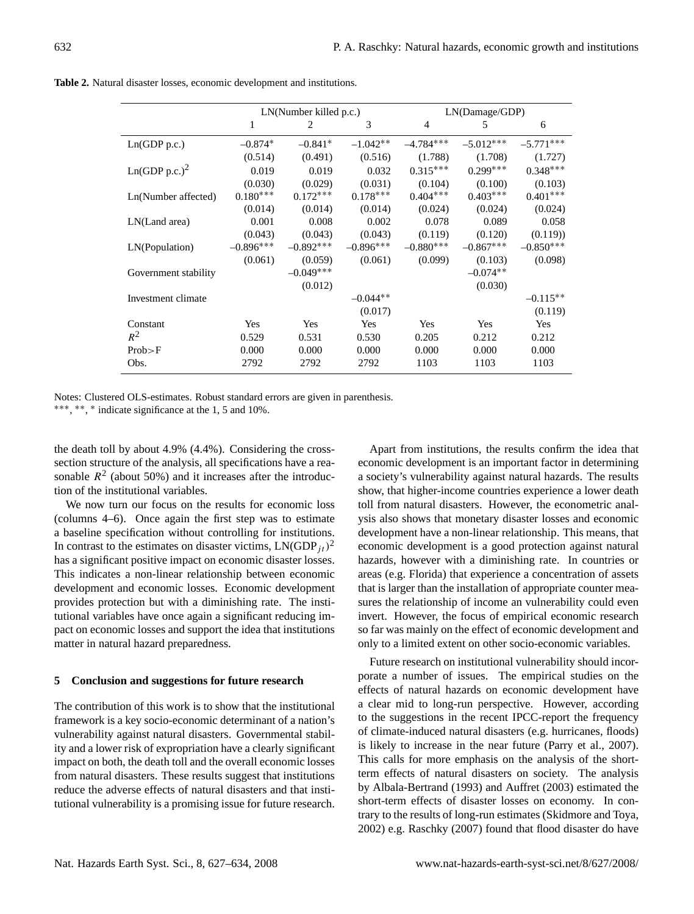|                           | LN(Number killed p.c.) |                               |             | LN(Damage/GDP) |             |             |  |
|---------------------------|------------------------|-------------------------------|-------------|----------------|-------------|-------------|--|
|                           |                        | $\mathfrak{D}_{\mathfrak{p}}$ | 3           | $\overline{4}$ | 5           | 6           |  |
| Ln(GDP p.c.)              | $-0.874*$              | $-0.841*$                     | $-1.042**$  | $-4.784***$    | $-5.012***$ | $-5.771***$ |  |
|                           | (0.514)                | (0.491)                       | (0.516)     | (1.788)        | (1.708)     | (1.727)     |  |
| Ln(GDP p.c.) <sup>2</sup> | 0.019                  | 0.019                         | 0.032       | $0.315***$     | $0.299***$  | $0.348***$  |  |
|                           | (0.030)                | (0.029)                       | (0.031)     | (0.104)        | (0.100)     | (0.103)     |  |
| Ln(Number affected)       | $0.180***$             | $0.172***$                    | $0.178***$  | $0.404***$     | $0.403***$  | $0.401***$  |  |
|                           | (0.014)                | (0.014)                       | (0.014)     | (0.024)        | (0.024)     | (0.024)     |  |
| LN(Land area)             | 0.001                  | 0.008                         | 0.002       | 0.078          | 0.089       | 0.058       |  |
|                           | (0.043)                | (0.043)                       | (0.043)     | (0.119)        | (0.120)     | (0.119)     |  |
| LN(Population)            | $-0.896***$            | $-0.892***$                   | $-0.896***$ | $-0.880***$    | $-0.867***$ | $-0.850***$ |  |
|                           | (0.061)                | (0.059)                       | (0.061)     | (0.099)        | (0.103)     | (0.098)     |  |
| Government stability      |                        | $-0.049***$                   |             |                | $-0.074**$  |             |  |
|                           |                        | (0.012)                       |             |                | (0.030)     |             |  |
| Investment climate        |                        |                               | $-0.044**$  |                |             | $-0.115**$  |  |
|                           |                        |                               | (0.017)     |                |             | (0.119)     |  |
| Constant                  | Yes                    | Yes                           | Yes         | Yes            | Yes         | <b>Yes</b>  |  |
| $R^2$                     | 0.529                  | 0.531                         | 0.530       | 0.205          | 0.212       | 0.212       |  |
| Prob > F                  | 0.000                  | 0.000                         | 0.000       | 0.000          | 0.000       | 0.000       |  |
| Obs.                      | 2792                   | 2792                          | 2792        | 1103           | 1103        | 1103        |  |

**Table 2.** Natural disaster losses, economic development and institutions.

Notes: Clustered OLS-estimates. Robust standard errors are given in parenthesis.

∗∗∗ , ∗∗ , ∗ indicate significance at the 1, 5 and 10%.

the death toll by about 4.9% (4.4%). Considering the crosssection structure of the analysis, all specifications have a reasonable  $R^2$  (about 50%) and it increases after the introduction of the institutional variables.

We now turn our focus on the results for economic loss (columns 4–6). Once again the first step was to estimate a baseline specification without controlling for institutions. In contrast to the estimates on disaster victims,  $LN(GDP_{jt})^2$ has a significant positive impact on economic disaster losses. This indicates a non-linear relationship between economic development and economic losses. Economic development provides protection but with a diminishing rate. The institutional variables have once again a significant reducing impact on economic losses and support the idea that institutions matter in natural hazard preparedness.

## **5 Conclusion and suggestions for future research**

The contribution of this work is to show that the institutional framework is a key socio-economic determinant of a nation's vulnerability against natural disasters. Governmental stability and a lower risk of expropriation have a clearly significant impact on both, the death toll and the overall economic losses from natural disasters. These results suggest that institutions reduce the adverse effects of natural disasters and that institutional vulnerability is a promising issue for future research.

Apart from institutions, the results confirm the idea that economic development is an important factor in determining a society's vulnerability against natural hazards. The results show, that higher-income countries experience a lower death toll from natural disasters. However, the econometric analysis also shows that monetary disaster losses and economic development have a non-linear relationship. This means, that economic development is a good protection against natural hazards, however with a diminishing rate. In countries or areas (e.g. Florida) that experience a concentration of assets that is larger than the installation of appropriate counter measures the relationship of income an vulnerability could even invert. However, the focus of empirical economic research so far was mainly on the effect of economic development and only to a limited extent on other socio-economic variables.

Future research on institutional vulnerability should incorporate a number of issues. The empirical studies on the effects of natural hazards on economic development have a clear mid to long-run perspective. However, according to the suggestions in the recent IPCC-report the frequency of climate-induced natural disasters (e.g. hurricanes, floods) is likely to increase in the near future [\(Parry et al.,](#page-6-1) [2007\)](#page-6-1). This calls for more emphasis on the analysis of the shortterm effects of natural disasters on society. The analysis by [Albala-Bertrand](#page-6-3) [\(1993\)](#page-6-3) and [Auffret](#page-6-11) [\(2003\)](#page-6-11) estimated the short-term effects of disaster losses on economy. In contrary to the results of long-run estimates [\(Skidmore and Toya,](#page-7-10) [2002\)](#page-7-10) e.g. [Raschky](#page-6-25) [\(2007\)](#page-6-25) found that flood disaster do have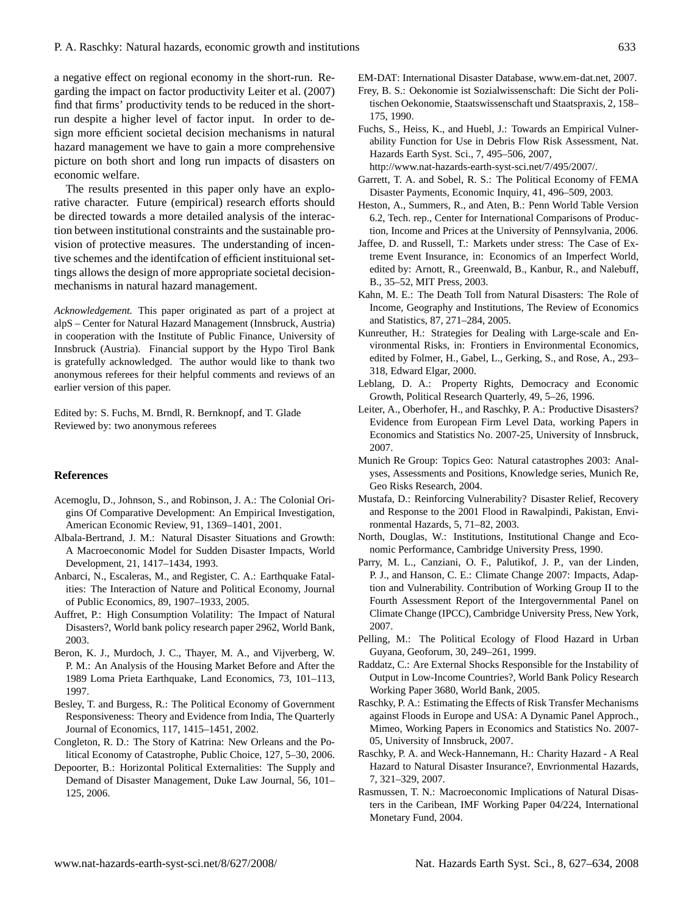a negative effect on regional economy in the short-run. Regarding the impact on factor productivity [Leiter et al.](#page-6-26) [\(2007\)](#page-6-26) find that firms' productivity tends to be reduced in the shortrun despite a higher level of factor input. In order to design more efficient societal decision mechanisms in natural hazard management we have to gain a more comprehensive picture on both short and long run impacts of disasters on economic welfare.

The results presented in this paper only have an explorative character. Future (empirical) research efforts should be directed towards a more detailed analysis of the interaction between institutional constraints and the sustainable provision of protective measures. The understanding of incentive schemes and the identifcation of efficient instituional settings allows the design of more appropriate societal decisionmechanisms in natural hazard management.

*Acknowledgement.* This paper originated as part of a project at alpS – Center for Natural Hazard Management (Innsbruck, Austria) in cooperation with the Institute of Public Finance, University of Innsbruck (Austria). Financial support by the Hypo Tirol Bank is gratefully acknowledged. The author would like to thank two anonymous referees for their helpful comments and reviews of an earlier version of this paper.

Edited by: S. Fuchs, M. Brndl, R. Bernknopf, and T. Glade Reviewed by: two anonymous referees

#### **References**

- <span id="page-6-7"></span>Acemoglu, D., Johnson, S., and Robinson, J. A.: The Colonial Origins Of Comparative Development: An Empirical Investigation, American Economic Review, 91, 1369–1401, 2001.
- <span id="page-6-3"></span>Albala-Bertrand, J. M.: Natural Disaster Situations and Growth: A Macroeconomic Model for Sudden Disaster Impacts, World Development, 21, 1417–1434, 1993.
- <span id="page-6-5"></span>Anbarci, N., Escaleras, M., and Register, C. A.: Earthquake Fatalities: The Interaction of Nature and Political Economy, Journal of Public Economics, 89, 1907–1933, 2005.
- <span id="page-6-11"></span>Auffret, P.: High Consumption Volatility: The Impact of Natural Disasters?, World bank policy research paper 2962, World Bank, 2003.
- <span id="page-6-22"></span>Beron, K. J., Murdoch, J. C., Thayer, M. A., and Vijverberg, W. P. M.: An Analysis of the Housing Market Before and After the 1989 Loma Prieta Earthquake, Land Economics, 73, 101–113, 1997.
- <span id="page-6-16"></span>Besley, T. and Burgess, R.: The Political Economy of Government Responsiveness: Theory and Evidence from India, The Quarterly Journal of Economics, 117, 1415–1451, 2002.
- <span id="page-6-18"></span>Congleton, R. D.: The Story of Katrina: New Orleans and the Political Economy of Catastrophe, Public Choice, 127, 5–30, 2006.
- <span id="page-6-20"></span>Depoorter, B.: Horizontal Political Externalities: The Supply and Demand of Disaster Management, Duke Law Journal, 56, 101– 125, 2006.

<span id="page-6-23"></span>EM-DAT: International Disaster Database, [www.em-dat.net,](www.em-dat.net) 2007.

- <span id="page-6-6"></span>Frey, B. S.: Oekonomie ist Sozialwissenschaft: Die Sicht der Politischen Oekonomie, Staatswissenschaft und Staatspraxis, 2, 158– 175, 1990.
- <span id="page-6-2"></span>Fuchs, S., Heiss, K., and Huebl, J.: Towards an Empirical Vulnerability Function for Use in Debris Flow Risk Assessment, Nat. Hazards Earth Syst. Sci., 7, 495–506, 2007,

[http://www.nat-hazards-earth-syst-sci.net/7/495/2007/.](http://www.nat-hazards-earth-syst-sci.net/7/495/2007/)

- <span id="page-6-15"></span>Garrett, T. A. and Sobel, R. S.: The Political Economy of FEMA Disaster Payments, Economic Inquiry, 41, 496–509, 2003.
- <span id="page-6-24"></span>Heston, A., Summers, R., and Aten, B.: Penn World Table Version 6.2, Tech. rep., Center for International Comparisons of Production, Income and Prices at the University of Pennsylvania, 2006.
- <span id="page-6-12"></span>Jaffee, D. and Russell, T.: Markets under stress: The Case of Extreme Event Insurance, in: Economics of an Imperfect World, edited by: Arnott, R., Greenwald, B., Kanbur, R., and Nalebuff, B., 35–52, MIT Press, 2003.
- <span id="page-6-4"></span>Kahn, M. E.: The Death Toll from Natural Disasters: The Role of Income, Geography and Institutions, The Review of Economics and Statistics, 87, 271–284, 2005.
- <span id="page-6-13"></span>Kunreuther, H.: Strategies for Dealing with Large-scale and Environmental Risks, in: Frontiers in Environmental Economics, edited by Folmer, H., Gabel, L., Gerking, S., and Rose, A., 293– 318, Edward Elgar, 2000.
- <span id="page-6-21"></span>Leblang, D. A.: Property Rights, Democracy and Economic Growth, Political Research Quarterly, 49, 5–26, 1996.
- <span id="page-6-26"></span>Leiter, A., Oberhofer, H., and Raschky, P. A.: Productive Disasters? Evidence from European Firm Level Data, working Papers in Economics and Statistics No. 2007-25, University of Innsbruck, 2007.
- <span id="page-6-0"></span>Munich Re Group: Topics Geo: Natural catastrophes 2003: Analyses, Assessments and Positions, Knowledge series, Munich Re, Geo Risks Research, 2004.
- <span id="page-6-17"></span>Mustafa, D.: Reinforcing Vulnerability? Disaster Relief, Recovery and Response to the 2001 Flood in Rawalpindi, Pakistan, Environmental Hazards, 5, 71–82, 2003.
- <span id="page-6-8"></span>North, Douglas, W.: Institutions, Institutional Change and Economic Performance, Cambridge University Press, 1990.
- <span id="page-6-1"></span>Parry, M. L., Canziani, O. F., Palutikof, J. P., van der Linden, P. J., and Hanson, C. E.: Climate Change 2007: Impacts, Adaption and Vulnerability. Contribution of Working Group II to the Fourth Assessment Report of the Intergovernmental Panel on Climate Change (IPCC), Cambridge University Press, New York, 2007.
- <span id="page-6-19"></span>Pelling, M.: The Political Ecology of Flood Hazard in Urban Guyana, Geoforum, 30, 249–261, 1999.
- <span id="page-6-9"></span>Raddatz, C.: Are External Shocks Responsible for the Instability of Output in Low-Income Countries?, World Bank Policy Research Working Paper 3680, World Bank, 2005.
- <span id="page-6-25"></span>Raschky, P. A.: Estimating the Effects of Risk Transfer Mechanisms against Floods in Europe and USA: A Dynamic Panel Approch., Mimeo, Working Papers in Economics and Statistics No. 2007- 05, University of Innsbruck, 2007.
- <span id="page-6-14"></span>Raschky, P. A. and Weck-Hannemann, H.: Charity Hazard - A Real Hazard to Natural Disaster Insurance?, Envrionmental Hazards, 7, 321–329, 2007.
- <span id="page-6-10"></span>Rasmussen, T. N.: Macroeconomic Implications of Natural Disasters in the Caribean, IMF Working Paper 04/224, International Monetary Fund, 2004.